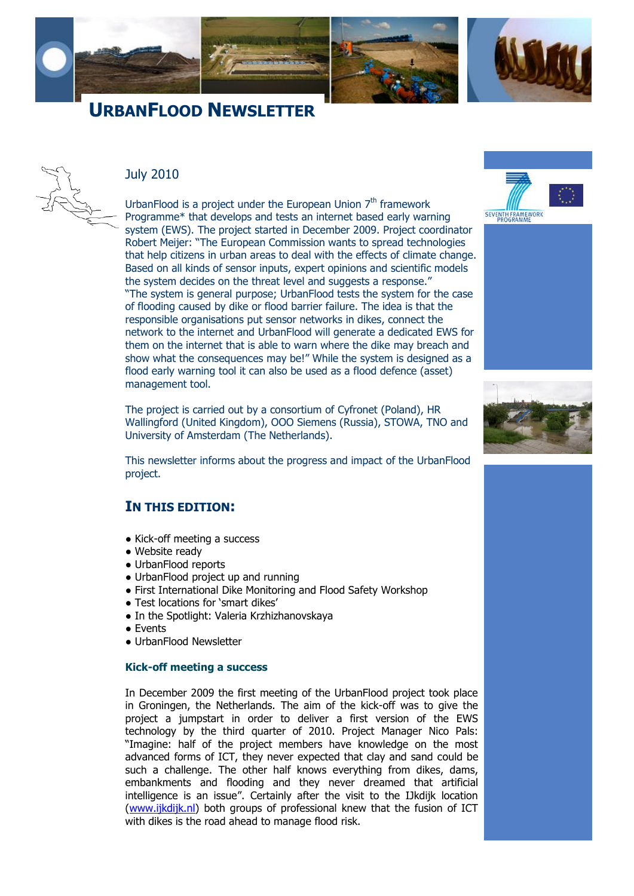



### July 2010

UrbanFlood is a project under the European Union  $7<sup>th</sup>$  framework Programme\* that develops and tests an internet based early warning system (EWS). The project started in December 2009. Project coordinator Robert Meijer: "The European Commission wants to spread technologies that help citizens in urban areas to deal with the effects of climate change. Based on all kinds of sensor inputs, expert opinions and scientific models the system decides on the threat level and suggests a response." "The system is general purpose; UrbanFlood tests the system for the case of flooding caused by dike or flood barrier failure. The idea is that the responsible organisations put sensor networks in dikes, connect the network to the internet and UrbanFlood will generate a dedicated EWS for them on the internet that is able to warn where the dike may breach and show what the consequences may be!" While the system is designed as a flood early warning tool it can also be used as a flood defence (asset) management tool.

The project is carried out by a consortium of Cyfronet (Poland), HR Wallingford (United Kingdom), OOO Siemens (Russia), STOWA, TNO and University of Amsterdam (The Netherlands).

This newsletter informs about the progress and impact of the UrbanFlood project.

## **IN THIS EDITION:**

- [Kick-off meeting a success](#page-0-0)
- [Website ready](#page-1-0)
- [UrbanFlood reports](#page-1-1)
- [UrbanFlood project up and running](#page-1-2)
- First International Dike Monitoring and Flood Safety Workshop
- Test locations for 'smart dikes'
- [In the Spotlight: Valeria Krzhizhanovskaya](#page-2-2)
- [Events](#page-2-3)
- [UrbanFlood Newsletter](#page-3-0)

#### <span id="page-0-0"></span>**Kick-off meeting a success**

In December 2009 the first meeting of the UrbanFlood project took place in Groningen, the Netherlands. The aim of the kick-off was to give the project a jumpstart in order to deliver a first version of the EWS technology by the third quarter of 2010. Project Manager Nico Pals: "Imagine: half of the project members have knowledge on the most advanced forms of ICT, they never expected that clay and sand could be such a challenge. The other half knows everything from dikes, dams, embankments and flooding and they never dreamed that artificial intelligence is an issue". Certainly after the visit to the IJkdijk location [\(www.ijkdijk.nl\)](http://www.ijkdijk.nl/) both groups of professional knew that the fusion of ICT with dikes is the road ahead to manage flood risk.



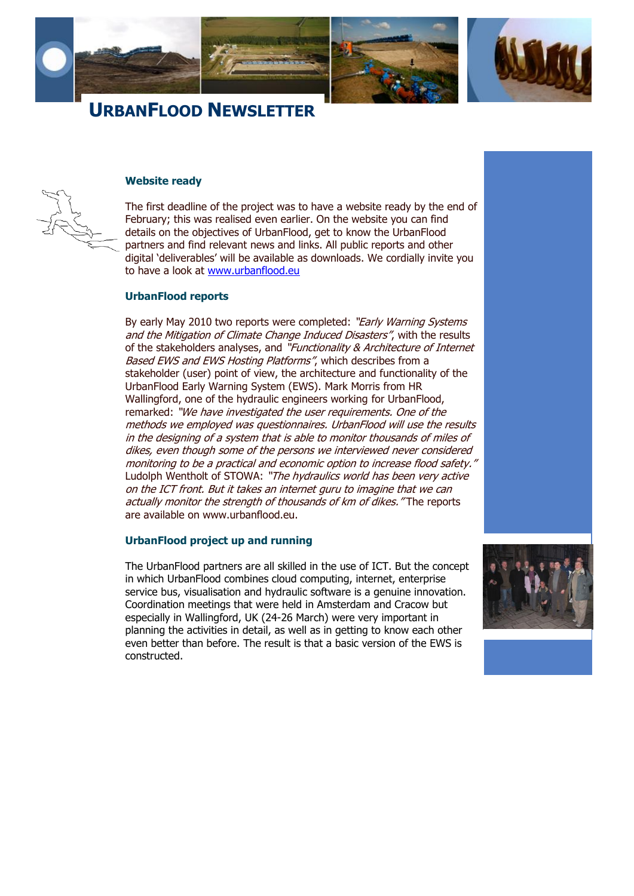

#### <span id="page-1-0"></span>**Website ready**

The first deadline of the project was to have a website ready by the end of February; this was realised even earlier. On the website you can find details on the objectives of UrbanFlood, get to know the UrbanFlood partners and find relevant news and links. All public reports and other digital "deliverables" will be available as downloads. We cordially invite you to have a look at [www.urbanflood.eu](http://www.urbanflood.eu/)

### <span id="page-1-1"></span>**UrbanFlood reports**

By early May 2010 two reports were completed: "Early Warning Systems" and the Mitigation of Climate Change Induced Disasters", with the results of the stakeholders analyses, and "Functionality & Architecture of Internet Based EWS and EWS Hosting Platforms", which describes from a stakeholder (user) point of view, the architecture and functionality of the UrbanFlood Early Warning System (EWS). Mark Morris from HR Wallingford, one of the hydraulic engineers working for UrbanFlood, remarked: "We have investigated the user requirements. One of the methods we employed was questionnaires. UrbanFlood will use the results in the designing of a system that is able to monitor thousands of miles of dikes, even though some of the persons we interviewed never considered monitoring to be a practical and economic option to increase flood safety." Ludolph Wentholt of STOWA: "The hydraulics world has been very active on the ICT front. But it takes an internet guru to imagine that we can actually monitor the strength of thousands of km of dikes. "The reports are available on [www.urbanflood.eu.](http://www.urbanflood.eu/)

#### <span id="page-1-2"></span>**UrbanFlood project up and running**

The UrbanFlood partners are all skilled in the use of ICT. But the concept in which UrbanFlood combines cloud computing, internet, enterprise service bus, visualisation and hydraulic software is a genuine innovation. Coordination meetings that were held in Amsterdam and Cracow but especially in Wallingford, UK (24-26 March) were very important in planning the activities in detail, as well as in getting to know each other even better than before. The result is that a basic version of the EWS is constructed.



e

g

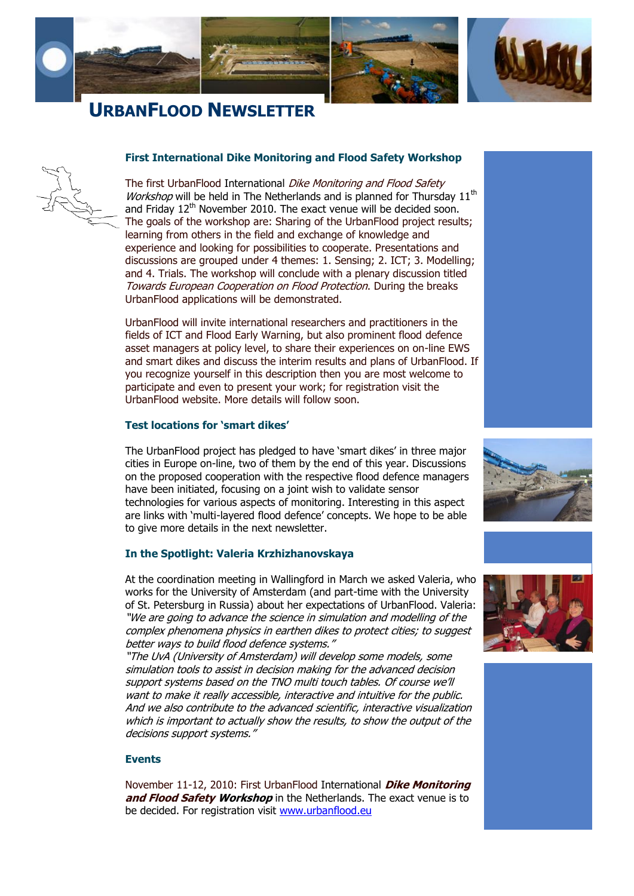



### <span id="page-2-0"></span>**First International Dike Monitoring and Flood Safety Workshop**

The first UrbanFlood International Dike Monitoring and Flood Safety *Workshop* will be held in The Netherlands and is planned for Thursday  $11<sup>th</sup>$ and Friday 12<sup>th</sup> November 2010. The exact venue will be decided soon. The goals of the workshop are: Sharing of the UrbanFlood project results; learning from others in the field and exchange of knowledge and experience and looking for possibilities to cooperate. Presentations and discussions are grouped under 4 themes: 1. Sensing; 2. ICT; 3. Modelling; and 4. Trials. The workshop will conclude with a plenary discussion titled Towards European Cooperation on Flood Protection. During the breaks UrbanFlood applications will be demonstrated.

UrbanFlood will invite international researchers and practitioners in the fields of ICT and Flood Early Warning, but also prominent flood defence asset managers at policy level, to share their experiences on on-line EWS and smart dikes and discuss the interim results and plans of UrbanFlood. If you recognize yourself in this description then you are most welcome to participate and even to present your work; for registration visit the UrbanFlood website. More details will follow soon.

### <span id="page-2-1"></span>**Test locations for 'smart dikes'**

The UrbanFlood project has pledged to have "smart dikes" in three major cities in Europe on-line, two of them by the end of this year. Discussions on the proposed cooperation with the respective flood defence managers have been initiated, focusing on a joint wish to validate sensor technologies for various aspects of monitoring. Interesting in this aspect are links with "multi-layered flood defence" concepts. We hope to be able to give more details in the next newsletter.

### <span id="page-2-2"></span>**In the Spotlight: Valeria Krzhizhanovskaya**

At the coordination meeting in Wallingford in March we asked Valeria, who works for the University of Amsterdam (and part-time with the University of St. Petersburg in Russia) about her expectations of UrbanFlood. Valeria: "We are going to advance the science in simulation and modelling of the complex phenomena physics in earthen dikes to protect cities; to suggest better ways to build flood defence systems."

"The UvA (University of Amsterdam) will develop some models, some simulation tools to assist in decision making for the advanced decision support systems based on the TNO multi touch tables. Of course we'll want to make it really accessible, interactive and intuitive for the public. And we also contribute to the advanced scientific, interactive visualization which is important to actually show the results, to show the output of the decisions support systems."

#### <span id="page-2-3"></span>**Events**

November 11-12, 2010: First UrbanFlood International **Dike Monitoring and Flood Safety Workshop** in the Netherlands. The exact venue is to be decided. For registration visit [www.urbanflood.eu](http://www.urbanflood.eu/)